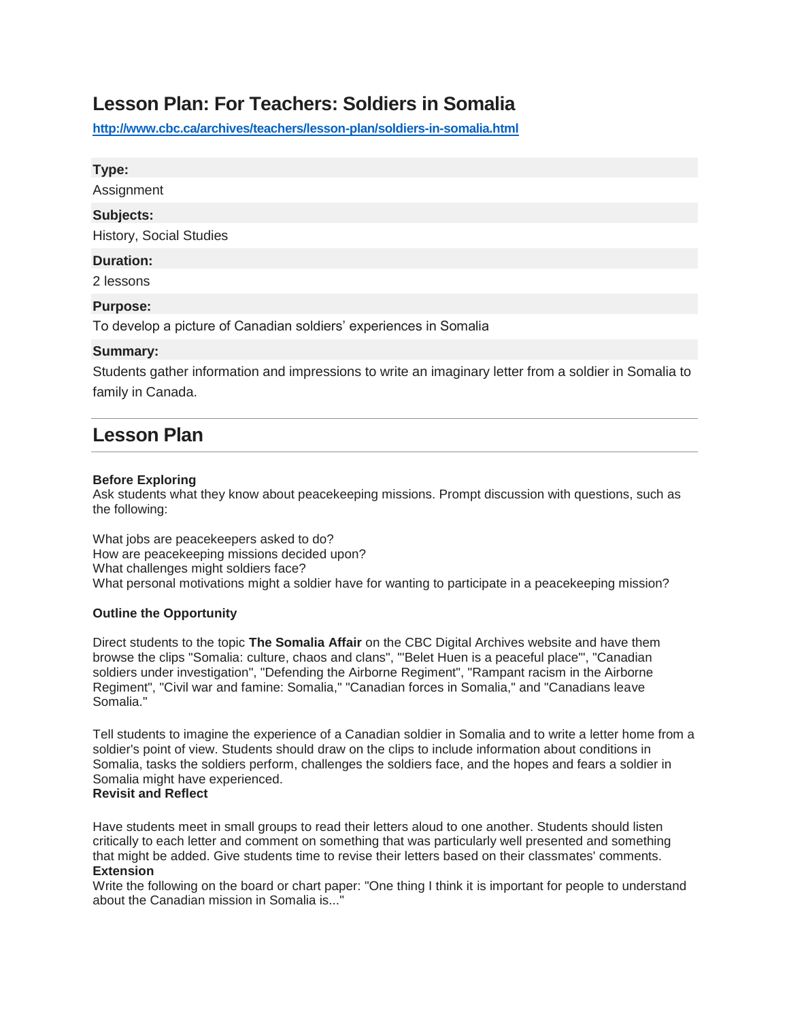# **Lesson Plan: For Teachers: Soldiers in Somalia**

**<http://www.cbc.ca/archives/teachers/lesson-plan/soldiers-in-somalia.html>**

#### **Type:**

Assignment

#### **Subjects:**

History, Social Studies

#### **Duration:**

2 lessons

#### **Purpose:**

To develop a picture of Canadian soldiers' experiences in Somalia

#### **Summary:**

Students gather information and impressions to write an imaginary letter from a soldier in Somalia to family in Canada.

## **Lesson Plan**

#### **Before Exploring**

Ask students what they know about peacekeeping missions. Prompt discussion with questions, such as the following:

What jobs are peacekeepers asked to do? How are peacekeeping missions decided upon? What challenges might soldiers face? What personal motivations might a soldier have for wanting to participate in a peacekeeping mission?

#### **Outline the Opportunity**

Direct students to the topic **The Somalia Affair** on the CBC Digital Archives website and have them browse the clips "Somalia: culture, chaos and clans", "'Belet Huen is a peaceful place'", "Canadian soldiers under investigation", "Defending the Airborne Regiment", "Rampant racism in the Airborne Regiment", "Civil war and famine: Somalia," "Canadian forces in Somalia," and "Canadians leave Somalia."

Tell students to imagine the experience of a Canadian soldier in Somalia and to write a letter home from a soldier's point of view. Students should draw on the clips to include information about conditions in Somalia, tasks the soldiers perform, challenges the soldiers face, and the hopes and fears a soldier in Somalia might have experienced.

### **Revisit and Reflect**

Have students meet in small groups to read their letters aloud to one another. Students should listen critically to each letter and comment on something that was particularly well presented and something that might be added. Give students time to revise their letters based on their classmates' comments. **Extension**

Write the following on the board or chart paper: "One thing I think it is important for people to understand about the Canadian mission in Somalia is..."